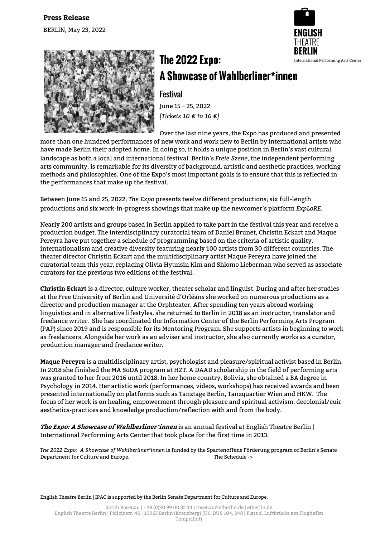



## **The 2022 Expo: A Showcase of Wahlberliner\*innen**

**Festival** June 15 – 25, 2022

*[Tickets 10 € to 16 €]*

Over the last nine years, the Expo has produced and presented more than one hundred performances of new work and work new to Berlin by international artists who have made Berlin their adopted home. In doing so, it holds a unique position in Berlin's vast cultural landscape as both a local and international festival. Berlin's *Freie Szene*, the independent performing arts community, is remarkable for its diversity of background, artistic and aesthetic practices, working methods and philosophies. One of the Expo's most important goals is to ensure that this is reflected in the performances that make up the festival.

Between June 15 and 25, 2022, *The Expo* presents twelve different productions; six full-length productions and six work-in-progress showings that make up the newcomer's platform *ExpLoRE*.

Nearly 200 artists and groups based in Berlin applied to take part in the festival this year and receive a production budget. The interdisciplinary curatorial team of Daniel Brunet, Christin Eckart and Maque Pereyra have put together a schedule of programming based on the criteria of artistic quality, internationalism and creative diversity featuring nearly 100 artists from 30 different countries. The theater director Christin Eckart and the multidisciplinary artist Maque Pereyra have joined the curatorial team this year, replacing Olivia Hyunsin Kim and Shlomo Lieberman who served as associate curators for the previous two editions of the festival.

**Christin Eckart** is a director, culture worker, theater scholar and linguist. During and after her studies at the Free University of Berlin and Université d'Orléans she worked on numerous productions as a director and production manager at the Orphteater. After spending ten years abroad working linguistics and in alternative lifestyles, she returned to Berlin in 2018 as an instructor, translator and freelance writer. She has coordinated the Information Center of the Berlin Performing Arts Program (PAP) since 2019 and is responsible for its Mentoring Program. She supports artists in beginning to work as freelancers. Alongside her work as an adviser and instructor, she also currently works as a curator, production manager and freelance writer.

**Maque Pereyra** is a multidisciplinary artist, psychologist and pleasure/spiritual activist based in Berlin. In 2018 she finished the MA SoDA program at HZT. A DAAD scholarship in the field of performing arts was granted to her from 2016 until 2018. In her home country, Bolivia, she obtained a BA degree in Psychology in 2014. Her artistic work (performances, videos, workshops) has received awards and been presented internationally on platforms such as Tanztage Berlin, Tanzquartier Wien and HKW. The focus of her work is on healing, empowerment through pleasure and spiritual activism, decolonial/cuir aesthetics-practices and knowledge production/reflection with and from the body.

**The Expo: A Showcase of Wahlberliner\*innen** is an annual festival at English Theatre Berlin | International Performing Arts Center that took place for the first time in 2013.

*The 2022 Expo: A Showcase of Wahlberliner\*innen* is funded by the Spartenoffene Förderung program of Berlin's Senate Department for Culture and Europe. The Schedule ->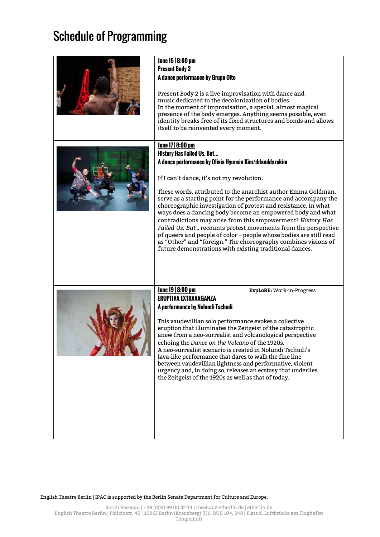## Schedule of Programming

| June 15   8:00 pm<br><b>Present Body 2</b><br>A dance performance by Grupo Oito<br>Present Body 2 is a live improvisation with dance and<br>music dedicated to the decolonization of bodies.<br>In the moment of improvisation, a special, almost magical<br>presence of the body emerges. Anything seems possible, even<br>identity breaks free of its fixed structures and bonds and allows<br>itself to be reinvented every moment.                                                                                                                                                                                                                                                                                                                                |
|-----------------------------------------------------------------------------------------------------------------------------------------------------------------------------------------------------------------------------------------------------------------------------------------------------------------------------------------------------------------------------------------------------------------------------------------------------------------------------------------------------------------------------------------------------------------------------------------------------------------------------------------------------------------------------------------------------------------------------------------------------------------------|
| June 17   8:00 pm<br><b>History Has Failed Us, But</b><br>A dance performance by Olivia Hyunsin Kim/ddanddarakim<br>If I can't dance, it's not my revolution.<br>These words, attributed to the anarchist author Emma Goldman,<br>serve as a starting point for the performance and accompany the<br>choreographic investigation of protest and resistance. In what<br>ways does a dancing body become an empowered body and what<br>contradictions may arise from this empowerment? History Has<br>Failed Us, But recounts protest movements from the perspective<br>of queers and people of color - people whose bodies are still read<br>as "Other" and "foreign." The choreography combines visions of<br>future demonstrations with existing traditional dances. |
| June 19   8:00 pm<br><b>ExpLoRE:</b> Work-in-Progress<br><b>ERUPTIVA EXTRAVAGANZA</b><br>A performance by Nolundi Tschudi<br>This vaudevillian solo performance evokes a collective<br>eruption that illuminates the Zeitgeist of the catastrophic<br>anew from a neo-surrealist and volcanological perspective<br>echoing the Dance on the Volcano of the 1920s.<br>A neo-surrealist scenario is created in Nolundi Tschudi's<br>lava-like performance that dares to walk the fine line<br>between vaudevillian lightness and performative, violent<br>urgency and, in doing so, releases an ecstasy that underlies<br>the Zeitgeist of the 1920s as well as that of today.                                                                                          |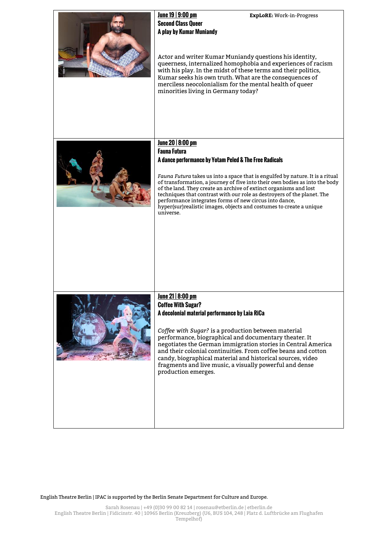| June 19   9:00 pm<br><b>ExpLoRE:</b> Work-in-Progress<br><b>Second Class Oueer</b><br>A play by Kumar Muniandy<br>Actor and writer Kumar Muniandy questions his identity,<br>queerness, internalized homophobia and experiences of racism<br>with his play. In the midst of these terms and their politics,<br>Kumar seeks his own truth. What are the consequences of<br>merciless neocolonialism for the mental health of queer<br>minorities living in Germany today?                                                                                          |
|-------------------------------------------------------------------------------------------------------------------------------------------------------------------------------------------------------------------------------------------------------------------------------------------------------------------------------------------------------------------------------------------------------------------------------------------------------------------------------------------------------------------------------------------------------------------|
| June 20   8:00 pm<br><b>Fauna Futura</b><br>A dance performance by Yotam Peled & The Free Radicals<br>Fauna Futura takes us into a space that is engulfed by nature. It is a ritual<br>of transformation, a journey of five into their own bodies as into the body<br>of the land. They create an archive of extinct organisms and lost<br>techniques that contrast with our role as destroyers of the planet. The<br>performance integrates forms of new circus into dance,<br>hyper(sur) realistic images, objects and costumes to create a unique<br>universe. |
| <u>June 21   8:00 pm</u><br><b>Coffee With Sugar?</b><br>A decolonial material performance by Laia RiCa<br>Coffee with Sugar? is a production between material<br>performance, biographical and documentary theater. It<br>negotiates the German immigration stories in Central America<br>and their colonial continuities. From coffee beans and cotton<br>candy, biographical material and historical sources, video<br>fragments and live music, a visually powerful and dense<br>production emerges.                                                          |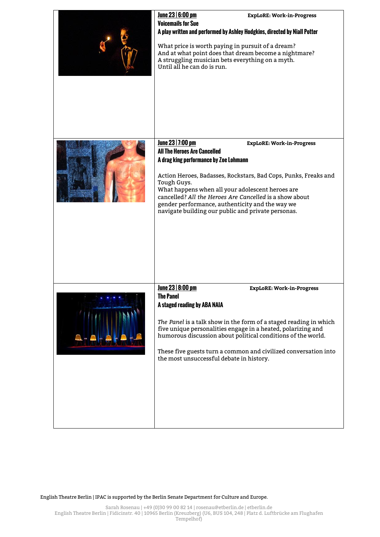| June 23   6:00 pm<br><b>Voicemails for Sue</b><br>A play written and performed by Ashley Hodgkins, directed by Niall Potter<br>What price is worth paying in pursuit of a dream?<br>And at what point does that dream become a nightmare?<br>A struggling musician bets everything on a myth.<br>Until all he can do is run.              | <b>ExpLoRE: Work-in-Progress</b>                                                                                                                                         |
|-------------------------------------------------------------------------------------------------------------------------------------------------------------------------------------------------------------------------------------------------------------------------------------------------------------------------------------------|--------------------------------------------------------------------------------------------------------------------------------------------------------------------------|
| June 23   7:00 pm<br><b>All The Heroes Are Cancelled</b><br>A drag king performance by Zoe Lohmann<br>Tough Guys.<br>What happens when all your adolescent heroes are<br>cancelled? All the Heroes Are Cancelled is a show about<br>gender performance, authenticity and the way we<br>navigate building our public and private personas. | <b>ExpLoRE: Work-in-Progress</b><br>Action Heroes, Badasses, Rockstars, Bad Cops, Punks, Freaks and                                                                      |
| June 23   8:00 pm<br><b>The Panel</b><br>A staged reading by ABA NAIA<br>five unique personalities engage in a heated, polarizing and<br>humorous discussion about political conditions of the world.<br>the most unsuccessful debate in history.                                                                                         | <b>ExpLoRE: Work-in-Progress</b><br>The Panel is a talk show in the form of a staged reading in which<br>These five guests turn a common and civilized conversation into |